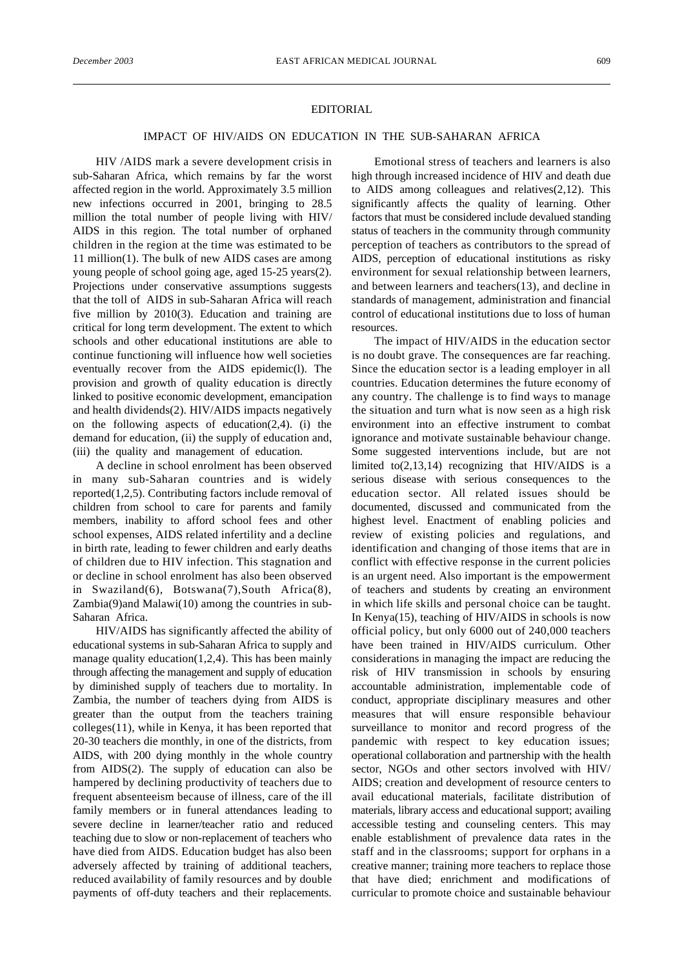## EDITORIAL

## IMPACT OF HIV/AIDS ON EDUCATION IN THE SUB-SAHARAN AFRICA

HIV /AIDS mark a severe development crisis in sub-Saharan Africa, which remains by far the worst affected region in the world. Approximately 3.5 million new infections occurred in 2001, bringing to 28.5 million the total number of people living with HIV/ AIDS in this region. The total number of orphaned children in the region at the time was estimated to be 11 million(1). The bulk of new AIDS cases are among young people of school going age, aged 15-25 years(2). Projections under conservative assumptions suggests that the toll of AIDS in sub-Saharan Africa will reach five million by 2010(3). Education and training are critical for long term development. The extent to which schools and other educational institutions are able to continue functioning will influence how well societies eventually recover from the AIDS epidemic(l). The provision and growth of quality education is directly linked to positive economic development, emancipation and health dividends(2). HIV/AIDS impacts negatively on the following aspects of education(2,4). (i) the demand for education, (ii) the supply of education and, (iii) the quality and management of education.

A decline in school enrolment has been observed in many sub-Saharan countries and is widely reported(1,2,5). Contributing factors include removal of children from school to care for parents and family members, inability to afford school fees and other school expenses, AIDS related infertility and a decline in birth rate, leading to fewer children and early deaths of children due to HIV infection. This stagnation and or decline in school enrolment has also been observed in Swaziland(6), Botswana(7),South Africa(8), Zambia(9)and Malawi(10) among the countries in sub-Saharan Africa.

HIV/AIDS has significantly affected the ability of educational systems in sub-Saharan Africa to supply and manage quality education(1,2,4). This has been mainly through affecting the management and supply of education by diminished supply of teachers due to mortality. In Zambia, the number of teachers dying from AIDS is greater than the output from the teachers training colleges(11), while in Kenya, it has been reported that 20-30 teachers die monthly, in one of the districts, from AIDS, with 200 dying monthly in the whole country from AIDS(2). The supply of education can also be hampered by declining productivity of teachers due to frequent absenteeism because of illness, care of the ill family members or in funeral attendances leading to severe decline in learner/teacher ratio and reduced teaching due to slow or non-replacement of teachers who have died from AIDS. Education budget has also been adversely affected by training of additional teachers, reduced availability of family resources and by double payments of off-duty teachers and their replacements.

Emotional stress of teachers and learners is also high through increased incidence of HIV and death due to AIDS among colleagues and relatives(2,12). This significantly affects the quality of learning. Other factors that must be considered include devalued standing status of teachers in the community through community perception of teachers as contributors to the spread of AIDS, perception of educational institutions as risky environment for sexual relationship between learners, and between learners and teachers(13), and decline in standards of management, administration and financial control of educational institutions due to loss of human resources.

The impact of HIV/AIDS in the education sector is no doubt grave. The consequences are far reaching. Since the education sector is a leading employer in all countries. Education determines the future economy of any country. The challenge is to find ways to manage the situation and turn what is now seen as a high risk environment into an effective instrument to combat ignorance and motivate sustainable behaviour change. Some suggested interventions include, but are not limited to(2,13,14) recognizing that HIV/AIDS is a serious disease with serious consequences to the education sector. All related issues should be documented, discussed and communicated from the highest level. Enactment of enabling policies and review of existing policies and regulations, and identification and changing of those items that are in conflict with effective response in the current policies is an urgent need. Also important is the empowerment of teachers and students by creating an environment in which life skills and personal choice can be taught. In Kenya(15), teaching of HIV/AIDS in schools is now official policy, but only 6000 out of 240,000 teachers have been trained in HIV/AIDS curriculum. Other considerations in managing the impact are reducing the risk of HIV transmission in schools by ensuring accountable administration, implementable code of conduct, appropriate disciplinary measures and other measures that will ensure responsible behaviour surveillance to monitor and record progress of the pandemic with respect to key education issues; operational collaboration and partnership with the health sector, NGOs and other sectors involved with HIV/ AIDS; creation and development of resource centers to avail educational materials, facilitate distribution of materials, library access and educational support; availing accessible testing and counseling centers. This may enable establishment of prevalence data rates in the staff and in the classrooms; support for orphans in a creative manner; training more teachers to replace those that have died; enrichment and modifications of curricular to promote choice and sustainable behaviour